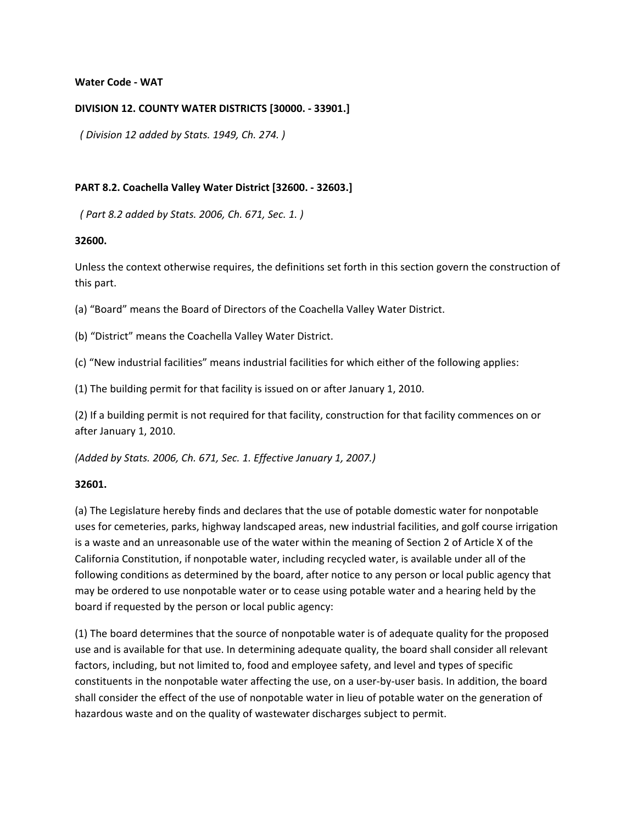#### **Water Code ‐ WAT**

### **DIVISION 12. COUNTY WATER DISTRICTS [30000. ‐ 33901.]**

*( Division 12 added by Stats. 1949, Ch. 274. )*

### **PART 8.2. Coachella Valley Water District [32600. ‐ 32603.]**

*( Part 8.2 added by Stats. 2006, Ch. 671, Sec. 1. )*

#### **32600.**

Unless the context otherwise requires, the definitions set forth in this section govern the construction of this part.

(a) "Board" means the Board of Directors of the Coachella Valley Water District.

(b) "District" means the Coachella Valley Water District.

(c) "New industrial facilities" means industrial facilities for which either of the following applies:

(1) The building permit for that facility is issued on or after January 1, 2010.

(2) If a building permit is not required for that facility, construction for that facility commences on or after January 1, 2010.

*(Added by Stats. 2006, Ch. 671, Sec. 1. Effective January 1, 2007.)*

## **32601.**

(a) The Legislature hereby finds and declares that the use of potable domestic water for nonpotable uses for cemeteries, parks, highway landscaped areas, new industrial facilities, and golf course irrigation is a waste and an unreasonable use of the water within the meaning of Section 2 of Article X of the California Constitution, if nonpotable water, including recycled water, is available under all of the following conditions as determined by the board, after notice to any person or local public agency that may be ordered to use nonpotable water or to cease using potable water and a hearing held by the board if requested by the person or local public agency:

(1) The board determines that the source of nonpotable water is of adequate quality for the proposed use and is available for that use. In determining adequate quality, the board shall consider all relevant factors, including, but not limited to, food and employee safety, and level and types of specific constituents in the nonpotable water affecting the use, on a user-by-user basis. In addition, the board shall consider the effect of the use of nonpotable water in lieu of potable water on the generation of hazardous waste and on the quality of wastewater discharges subject to permit.